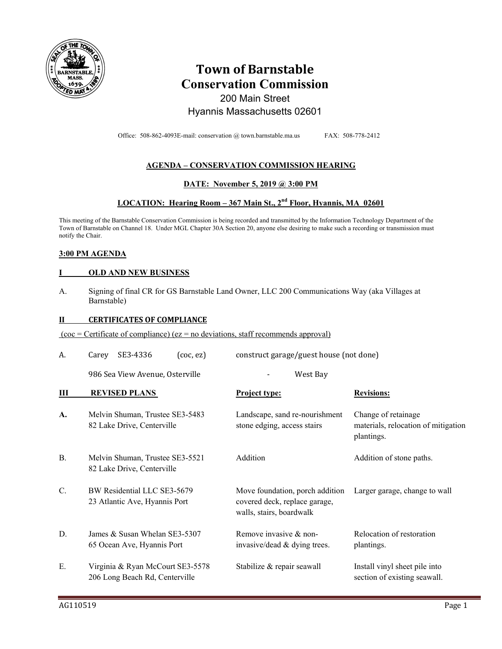

## **Town of Barnstable Conservation Commission**  200 Main Street

# Hyannis Massachusetts 02601

Office: 508-862-4093E-mail: conservation @ town.barnstable.ma.us FAX: 508-778-2412

#### **AGENDA – CONSERVATION COMMISSION HEARING**

#### **DATE: November 5, 2019 @ 3:00 PM**

#### **LOCATION: Hearing Room – 367 Main St., 2nd Floor, Hyannis, MA 02601**

This meeting of the Barnstable Conservation Commission is being recorded and transmitted by the Information Technology Department of the Town of Barnstable on Channel 18. Under MGL Chapter 30A Section 20, anyone else desiring to make such a recording or transmission must notify the Chair.

#### **3:00 PM AGENDA**

#### **I OLD AND NEW BUSINESS**

A. Signing of final CR for GS Barnstable Land Owner, LLC 200 Communications Way (aka Villages at Barnstable)

#### **II CERTIFICATES OF COMPLIANCE**

 $(coc = \text{Certificance})$  (ez = no deviations, staff recommends approval)

| A. | SE3-4336<br>$($ coc, ez $)$<br>Carey                               |                                                                                              | construct garage/guest house (not done)                                  |  |
|----|--------------------------------------------------------------------|----------------------------------------------------------------------------------------------|--------------------------------------------------------------------------|--|
|    | 986 Sea View Avenue, Osterville                                    | West Bay                                                                                     |                                                                          |  |
| Ш  | <b>REVISED PLANS</b>                                               | <b>Project type:</b>                                                                         | <b>Revisions:</b>                                                        |  |
| A. | Melvin Shuman, Trustee SE3-5483<br>82 Lake Drive, Centerville      | Landscape, sand re-nourishment<br>stone edging, access stairs                                | Change of retainage<br>materials, relocation of mitigation<br>plantings. |  |
| В. | Melvin Shuman, Trustee SE3-5521<br>82 Lake Drive, Centerville      | Addition                                                                                     | Addition of stone paths.                                                 |  |
| C. | BW Residential LLC SE3-5679<br>23 Atlantic Ave, Hyannis Port       | Move foundation, porch addition<br>covered deck, replace garage,<br>walls, stairs, boardwalk | Larger garage, change to wall                                            |  |
| D. | James & Susan Whelan SE3-5307<br>65 Ocean Ave, Hyannis Port        | Remove invasive & non-<br>invasive/dead & dying trees.                                       | Relocation of restoration<br>plantings.                                  |  |
| Ε. | Virginia & Ryan McCourt SE3-5578<br>206 Long Beach Rd, Centerville | Stabilize & repair seawall                                                                   | Install vinyl sheet pile into<br>section of existing seawall.            |  |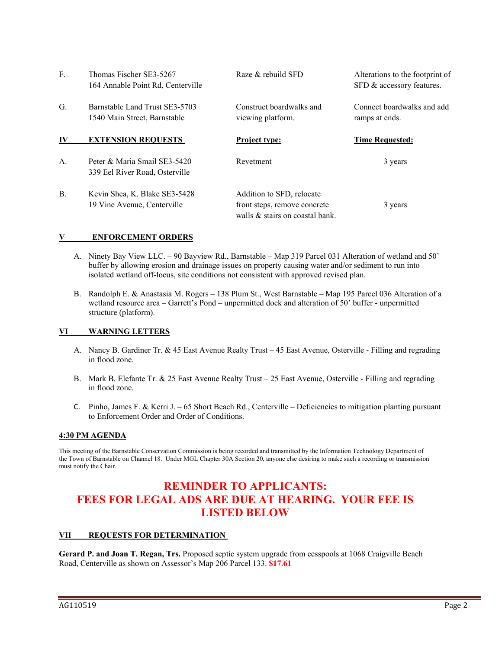| F.        | Thomas Fischer SE3-5267<br>164 Annable Point Rd, Centerville   | Raze & rebuild SFD                                                                           | Alterations to the footprint of<br>SFD & accessory features. |
|-----------|----------------------------------------------------------------|----------------------------------------------------------------------------------------------|--------------------------------------------------------------|
| G.        | Barnstable Land Trust SE3-5703<br>1540 Main Street, Barnstable | Construct boardwalks and<br>viewing platform.                                                | Connect boardwalks and add<br>ramps at ends.                 |
| IV        | <b>EXTENSION REQUESTS</b>                                      | <b>Project type:</b>                                                                         | <b>Time Requested:</b>                                       |
| A.        | Peter & Maria Smail SE3-5420<br>339 Eel River Road, Osterville | Revetment                                                                                    | 3 years                                                      |
| <b>B.</b> | Kevin Shea, K. Blake SE3-5428<br>19 Vine Avenue, Centerville   | Addition to SFD, relocate<br>front steps, remove concrete<br>walls & stairs on coastal bank. | 3 years                                                      |

#### **V ENFORCEMENT ORDERS**

- A. Ninety Bay View LLC. 90 Bayview Rd., Barnstable Map 319 Parcel 031 Alteration of wetland and 50' buffer by allowing erosion and drainage issues on property causing water and/or sediment to run into isolated wetland off-locus, site conditions not consistent with approved revised plan.
- B. Randolph E. & Anastasia M. Rogers 138 Plum St., West Barnstable Map 195 Parcel 036 Alteration of a wetland resource area – Garrett's Pond – unpermitted dock and alteration of 50' buffer - unpermitted structure (platform).

#### **VI WARNING LETTERS**

- A. Nancy B. Gardiner Tr. & 45 East Avenue Realty Trust 45 East Avenue, Osterville Filling and regrading in flood zone.
- B. Mark B. Elefante Tr. & 25 East Avenue Realty Trust 25 East Avenue, Osterville Filling and regrading in flood zone.
- C. Pinho, James F. & Kerri J. 65 Short Beach Rd., Centerville Deficiencies to mitigation planting pursuant to Enforcement Order and Order of Conditions.

#### **4:30 PM AGENDA**

This meeting of the Barnstable Conservation Commission is being recorded and transmitted by the Information Technology Department of the Town of Barnstable on Channel 18. Under MGL Chapter 30A Section 20, anyone else desiring to make such a recording or transmission must notify the Chair.

### **REMINDER TO APPLICANTS: FEES FOR LEGAL ADS ARE DUE AT HEARING. YOUR FEE IS LISTED BELOW**

#### **VII REQUESTS FOR DETERMINATION**

**Gerard P. and Joan T. Regan, Trs.** Proposed septic system upgrade from cesspools at 1068 Craigville Beach Road, Centerville as shown on Assessor's Map 206 Parcel 133. **\$17.61**